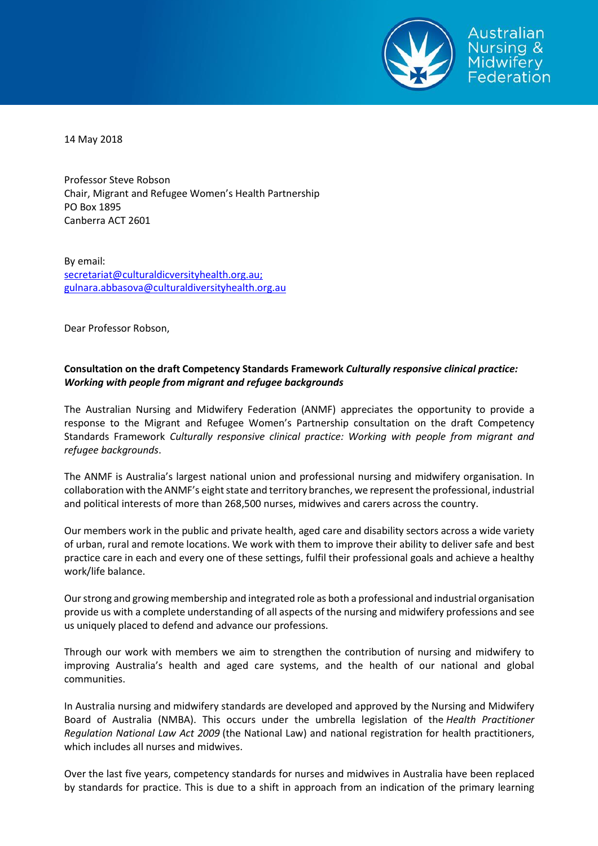

14 May 2018

Professor Steve Robson Chair, Migrant and Refugee Women's Health Partnership PO Box 1895 Canberra ACT 2601

By email: [secretariat@culturaldicversityhealth.org.au;](mailto:secretariat@culturaldicversityhealth.org.au;) [gulnara.abbasova@culturaldiversityhealth.org.au](mailto:gulnara.abbasova@culturaldiversityhealth.org.au)

Dear Professor Robson,

# **Consultation on the draft Competency Standards Framework** *Culturally responsive clinical practice: Working with people from migrant and refugee backgrounds*

The Australian Nursing and Midwifery Federation (ANMF) appreciates the opportunity to provide a response to the Migrant and Refugee Women's Partnership consultation on the draft Competency Standards Framework *Culturally responsive clinical practice: Working with people from migrant and refugee backgrounds*.

The ANMF is Australia's largest national union and professional nursing and midwifery organisation. In collaboration with the ANMF's eight state and territory branches, we represent the professional, industrial and political interests of more than 268,500 nurses, midwives and carers across the country.

Our members work in the public and private health, aged care and disability sectors across a wide variety of urban, rural and remote locations. We work with them to improve their ability to deliver safe and best practice care in each and every one of these settings, fulfil their professional goals and achieve a healthy work/life balance.

Our strong and growing membership and integrated role as both a professional and industrial organisation provide us with a complete understanding of all aspects of the nursing and midwifery professions and see us uniquely placed to defend and advance our professions.

Through our work with members we aim to strengthen the contribution of nursing and midwifery to improving Australia's health and aged care systems, and the health of our national and global communities.

In Australia nursing and midwifery standards are developed and approved by the Nursing and Midwifery Board of Australia (NMBA). This occurs under the umbrella legislation of the *Health Practitioner Regulation National Law Act 2009* (the National Law) and national registration for health practitioners, which includes all nurses and midwives.

Over the last five years, competency standards for nurses and midwives in Australia have been replaced by standards for practice. This is due to a shift in approach from an indication of the primary learning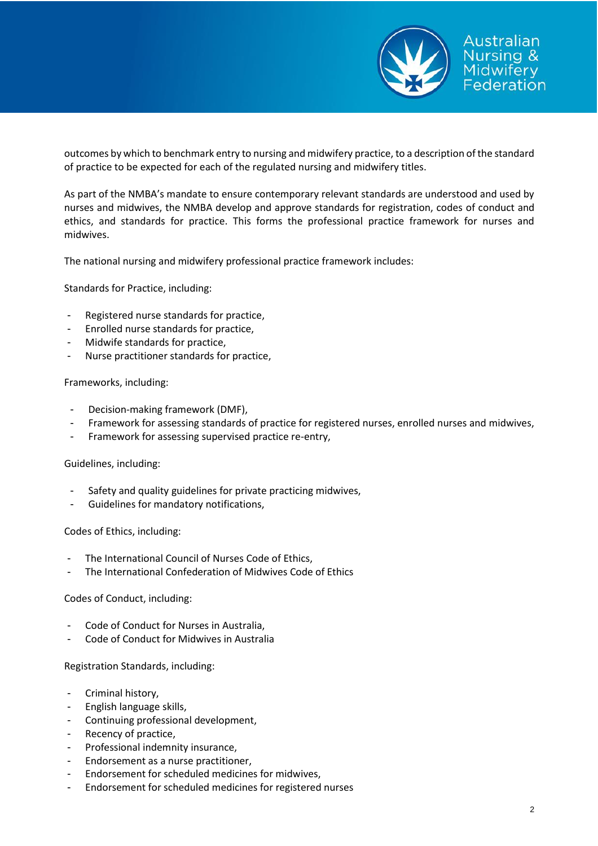

outcomes by which to benchmark entry to nursing and midwifery practice, to a description of the standard of practice to be expected for each of the regulated nursing and midwifery titles.

As part of the NMBA's mandate to ensure contemporary relevant standards are understood and used by nurses and midwives, the NMBA develop and approve standards for registration, codes of conduct and ethics, and standards for practice. This forms the professional practice framework for nurses and midwives.

The national nursing and midwifery professional practice framework includes:

Standards for Practice, including:

- Registered nurse standards for practice.
- Enrolled nurse standards for practice,
- Midwife standards for practice,
- Nurse practitioner standards for practice,

# Frameworks, including:

- Decision-making framework (DMF),
- Framework for assessing standards of practice for registered nurses, enrolled nurses and midwives,
- Framework for assessing supervised practice re-entry,

## Guidelines, including:

- Safety and quality guidelines for private practicing midwives,
- Guidelines for mandatory notifications,

Codes of Ethics, including:

- The International Council of Nurses Code of Ethics,
- The International Confederation of Midwives Code of Ethics

## Codes of Conduct, including:

- Code of Conduct for Nurses in Australia.
- Code of Conduct for Midwives in Australia

## Registration Standards, including:

- Criminal history,
- English language skills,
- Continuing professional development,
- Recency of practice,
- Professional indemnity insurance,
- Endorsement as a nurse practitioner,
- Endorsement for scheduled medicines for midwives,
- Endorsement for scheduled medicines for registered nurses